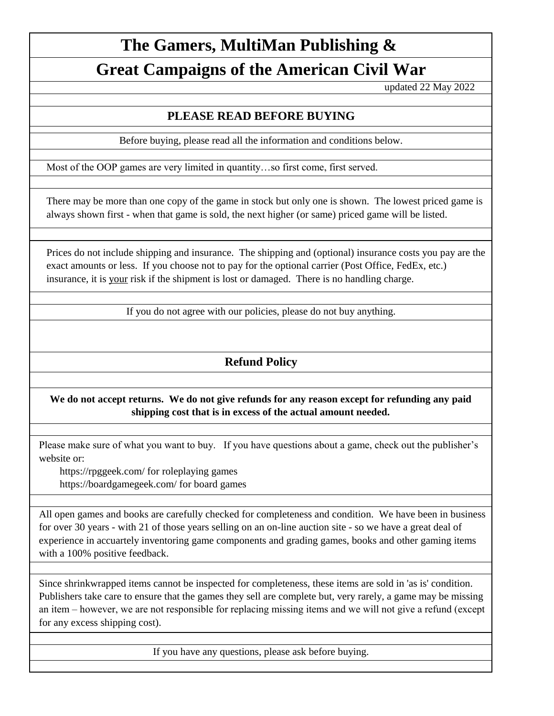# **The Gamers, MultiMan Publishing &**

# **Great Campaigns of the American Civil War**

updated 22 May 2022

## **PLEASE READ BEFORE BUYING**

Before buying, please read all the information and conditions below.

Most of the OOP games are very limited in quantity…so first come, first served.

There may be more than one copy of the game in stock but only one is shown. The lowest priced game is always shown first - when that game is sold, the next higher (or same) priced game will be listed.

Prices do not include shipping and insurance. The shipping and (optional) insurance costs you pay are the exact amounts or less. If you choose not to pay for the optional carrier (Post Office, FedEx, etc.) insurance, it is your risk if the shipment is lost or damaged. There is no handling charge.

If you do not agree with our policies, please do not buy anything.

# **Refund Policy**

### **We do not accept returns. We do not give refunds for any reason except for refunding any paid shipping cost that is in excess of the actual amount needed.**

Please make sure of what you want to buy. If you have questions about a game, check out the publisher's website or:

 https://rpggeek.com/ for roleplaying games https://boardgamegeek.com/ for board games

All open games and books are carefully checked for completeness and condition. We have been in business for over 30 years - with 21 of those years selling on an on-line auction site - so we have a great deal of experience in accuartely inventoring game components and grading games, books and other gaming items with a 100% positive feedback.

Since shrinkwrapped items cannot be inspected for completeness, these items are sold in 'as is' condition. Publishers take care to ensure that the games they sell are complete but, very rarely, a game may be missing an item – however, we are not responsible for replacing missing items and we will not give a refund (except for any excess shipping cost).

If you have any questions, please ask before buying.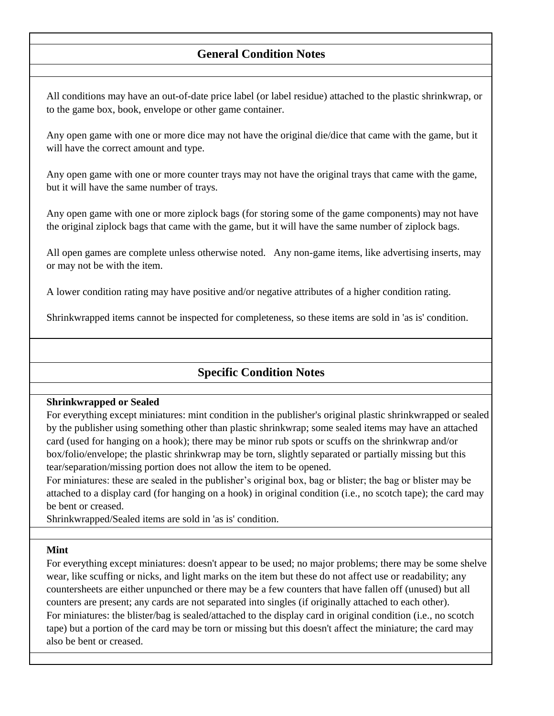### **General Condition Notes**

All conditions may have an out-of-date price label (or label residue) attached to the plastic shrinkwrap, or to the game box, book, envelope or other game container.

Any open game with one or more dice may not have the original die/dice that came with the game, but it will have the correct amount and type.

Any open game with one or more counter trays may not have the original trays that came with the game, but it will have the same number of trays.

Any open game with one or more ziplock bags (for storing some of the game components) may not have the original ziplock bags that came with the game, but it will have the same number of ziplock bags.

All open games are complete unless otherwise noted. Any non-game items, like advertising inserts, may or may not be with the item.

A lower condition rating may have positive and/or negative attributes of a higher condition rating.

Shrinkwrapped items cannot be inspected for completeness, so these items are sold in 'as is' condition.

### **Specific Condition Notes**

#### **Shrinkwrapped or Sealed**

For everything except miniatures: mint condition in the publisher's original plastic shrinkwrapped or sealed by the publisher using something other than plastic shrinkwrap; some sealed items may have an attached card (used for hanging on a hook); there may be minor rub spots or scuffs on the shrinkwrap and/or box/folio/envelope; the plastic shrinkwrap may be torn, slightly separated or partially missing but this tear/separation/missing portion does not allow the item to be opened.

For miniatures: these are sealed in the publisher's original box, bag or blister; the bag or blister may be attached to a display card (for hanging on a hook) in original condition (i.e., no scotch tape); the card may be bent or creased.

Shrinkwrapped/Sealed items are sold in 'as is' condition.

#### **Mint**

For everything except miniatures: doesn't appear to be used; no major problems; there may be some shelve wear, like scuffing or nicks, and light marks on the item but these do not affect use or readability; any countersheets are either unpunched or there may be a few counters that have fallen off (unused) but all counters are present; any cards are not separated into singles (if originally attached to each other). For miniatures: the blister/bag is sealed/attached to the display card in original condition (i.e., no scotch tape) but a portion of the card may be torn or missing but this doesn't affect the miniature; the card may also be bent or creased.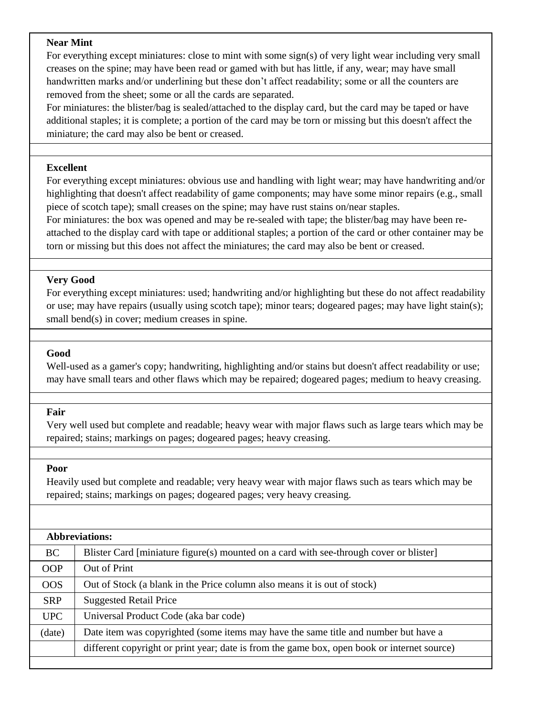#### **Near Mint**

For everything except miniatures: close to mint with some sign(s) of very light wear including very small creases on the spine; may have been read or gamed with but has little, if any, wear; may have small handwritten marks and/or underlining but these don't affect readability; some or all the counters are removed from the sheet; some or all the cards are separated.

For miniatures: the blister/bag is sealed/attached to the display card, but the card may be taped or have additional staples; it is complete; a portion of the card may be torn or missing but this doesn't affect the miniature; the card may also be bent or creased.

#### **Excellent**

For everything except miniatures: obvious use and handling with light wear; may have handwriting and/or highlighting that doesn't affect readability of game components; may have some minor repairs (e.g., small piece of scotch tape); small creases on the spine; may have rust stains on/near staples.

For miniatures: the box was opened and may be re-sealed with tape; the blister/bag may have been reattached to the display card with tape or additional staples; a portion of the card or other container may be torn or missing but this does not affect the miniatures; the card may also be bent or creased.

#### **Very Good**

For everything except miniatures: used; handwriting and/or highlighting but these do not affect readability or use; may have repairs (usually using scotch tape); minor tears; dogeared pages; may have light stain(s); small bend(s) in cover; medium creases in spine.

#### **Good**

Well-used as a gamer's copy; handwriting, highlighting and/or stains but doesn't affect readability or use; may have small tears and other flaws which may be repaired; dogeared pages; medium to heavy creasing.

#### **Fair**

Very well used but complete and readable; heavy wear with major flaws such as large tears which may be repaired; stains; markings on pages; dogeared pages; heavy creasing.

#### **Poor**

Heavily used but complete and readable; very heavy wear with major flaws such as tears which may be repaired; stains; markings on pages; dogeared pages; very heavy creasing.

|            | Abbreviations:                                                                              |
|------------|---------------------------------------------------------------------------------------------|
| BC.        | Blister Card [miniature figure(s) mounted on a card with see-through cover or blister]      |
| <b>OOP</b> | Out of Print                                                                                |
| OOS        | Out of Stock (a blank in the Price column also means it is out of stock)                    |
| <b>SRP</b> | <b>Suggested Retail Price</b>                                                               |
| <b>UPC</b> | Universal Product Code (aka bar code)                                                       |
| (date)     | Date item was copyrighted (some items may have the same title and number but have a         |
|            | different copyright or print year; date is from the game box, open book or internet source) |
|            |                                                                                             |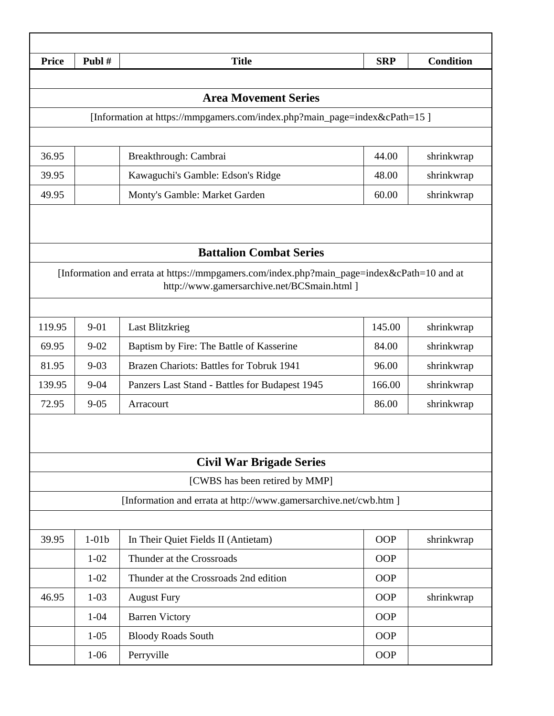| <b>Price</b> | Publ#    | <b>Title</b>                                                                                                                              | <b>SRP</b> | <b>Condition</b> |
|--------------|----------|-------------------------------------------------------------------------------------------------------------------------------------------|------------|------------------|
|              |          |                                                                                                                                           |            |                  |
|              |          | <b>Area Movement Series</b>                                                                                                               |            |                  |
|              |          | [Information at https://mmpgamers.com/index.php?main_page=index&cPath=15]                                                                 |            |                  |
|              |          |                                                                                                                                           |            |                  |
| 36.95        |          | Breakthrough: Cambrai                                                                                                                     | 44.00      | shrinkwrap       |
| 39.95        |          | Kawaguchi's Gamble: Edson's Ridge                                                                                                         | 48.00      | shrinkwrap       |
| 49.95        |          | Monty's Gamble: Market Garden                                                                                                             | 60.00      | shrinkwrap       |
|              |          | <b>Battalion Combat Series</b>                                                                                                            |            |                  |
|              |          | [Information and errata at https://mmpgamers.com/index.php?main_page=index&cPath=10 and at<br>http://www.gamersarchive.net/BCSmain.html ] |            |                  |
| 119.95       | $9 - 01$ | <b>Last Blitzkrieg</b>                                                                                                                    | 145.00     | shrinkwrap       |
| 69.95        | $9 - 02$ | Baptism by Fire: The Battle of Kasserine                                                                                                  | 84.00      | shrinkwrap       |
| 81.95        | $9 - 03$ | Brazen Chariots: Battles for Tobruk 1941                                                                                                  | 96.00      | shrinkwrap       |
| 139.95       | $9 - 04$ | Panzers Last Stand - Battles for Budapest 1945                                                                                            | 166.00     | shrinkwrap       |
| 72.95        | $9 - 05$ | Arracourt                                                                                                                                 | 86.00      | shrinkwrap       |
|              |          | <b>Civil War Brigade Series</b>                                                                                                           |            |                  |
|              |          | [CWBS has been retired by MMP]                                                                                                            |            |                  |
|              |          | [Information and errata at http://www.gamersarchive.net/cwb.htm ]                                                                         |            |                  |
|              |          |                                                                                                                                           |            |                  |
| 39.95        | $1-01b$  | In Their Quiet Fields II (Antietam)                                                                                                       | <b>OOP</b> | shrinkwrap       |
|              | $1 - 02$ | Thunder at the Crossroads                                                                                                                 | <b>OOP</b> |                  |
|              | $1 - 02$ | Thunder at the Crossroads 2nd edition                                                                                                     | OOP        |                  |
| 46.95        | $1-03$   | <b>August Fury</b>                                                                                                                        | <b>OOP</b> | shrinkwrap       |
|              | $1 - 04$ | <b>Barren Victory</b>                                                                                                                     | <b>OOP</b> |                  |
|              | $1 - 05$ | <b>Bloody Roads South</b>                                                                                                                 | <b>OOP</b> |                  |
|              | $1 - 06$ | Perryville                                                                                                                                | OOP        |                  |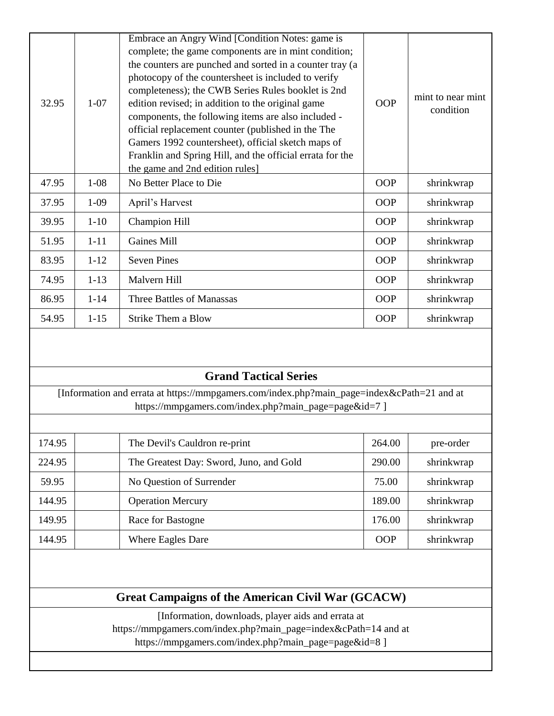| 32.95 | $1 - 07$ | Embrace an Angry Wind [Condition Notes: game is<br>complete; the game components are in mint condition;<br>the counters are punched and sorted in a counter tray (a<br>photocopy of the countersheet is included to verify<br>completeness); the CWB Series Rules booklet is 2nd<br>edition revised; in addition to the original game<br>components, the following items are also included -<br>official replacement counter (published in the The<br>Gamers 1992 countersheet), official sketch maps of<br>Franklin and Spring Hill, and the official errata for the<br>the game and 2nd edition rules] | <b>OOP</b> | mint to near mint<br>condition |
|-------|----------|----------------------------------------------------------------------------------------------------------------------------------------------------------------------------------------------------------------------------------------------------------------------------------------------------------------------------------------------------------------------------------------------------------------------------------------------------------------------------------------------------------------------------------------------------------------------------------------------------------|------------|--------------------------------|
| 47.95 | $1 - 08$ | No Better Place to Die                                                                                                                                                                                                                                                                                                                                                                                                                                                                                                                                                                                   | <b>OOP</b> | shrinkwrap                     |
| 37.95 | $1-09$   | April's Harvest                                                                                                                                                                                                                                                                                                                                                                                                                                                                                                                                                                                          | <b>OOP</b> | shrinkwrap                     |
| 39.95 | $1 - 10$ | <b>Champion Hill</b>                                                                                                                                                                                                                                                                                                                                                                                                                                                                                                                                                                                     | <b>OOP</b> | shrinkwrap                     |
| 51.95 | $1 - 11$ | <b>Gaines Mill</b>                                                                                                                                                                                                                                                                                                                                                                                                                                                                                                                                                                                       | <b>OOP</b> | shrinkwrap                     |
| 83.95 | $1 - 12$ | <b>Seven Pines</b>                                                                                                                                                                                                                                                                                                                                                                                                                                                                                                                                                                                       | <b>OOP</b> | shrinkwrap                     |
| 74.95 | $1 - 13$ | Malvern Hill                                                                                                                                                                                                                                                                                                                                                                                                                                                                                                                                                                                             | <b>OOP</b> | shrinkwrap                     |
| 86.95 | $1 - 14$ | Three Battles of Manassas                                                                                                                                                                                                                                                                                                                                                                                                                                                                                                                                                                                | <b>OOP</b> | shrinkwrap                     |
| 54.95 | $1 - 15$ | <b>Strike Them a Blow</b>                                                                                                                                                                                                                                                                                                                                                                                                                                                                                                                                                                                | <b>OOP</b> | shrinkwrap                     |

## **Grand Tactical Series**

[Information and errata at https://mmpgamers.com/index.php?main\_page=index&cPath=21 and at https://mmpgamers.com/index.php?main\_page=page&id=7 ]

| 174.95 | The Devil's Cauldron re-print           | 264.00     | pre-order  |
|--------|-----------------------------------------|------------|------------|
| 224.95 | The Greatest Day: Sword, Juno, and Gold | 290.00     | shrinkwrap |
| 59.95  | No Question of Surrender                | 75.00      | shrinkwrap |
| 144.95 | <b>Operation Mercury</b>                | 189.00     | shrinkwrap |
| 149.95 | Race for Bastogne                       | 176.00     | shrinkwrap |
| 144.95 | <b>Where Eagles Dare</b>                | <b>OOP</b> | shrinkwrap |
|        |                                         |            |            |

# **Great Campaigns of the American Civil War (GCACW)**

[Information, downloads, player aids and errata at

https://mmpgamers.com/index.php?main\_page=index&cPath=14 and at

https://mmpgamers.com/index.php?main\_page=page&id=8 ]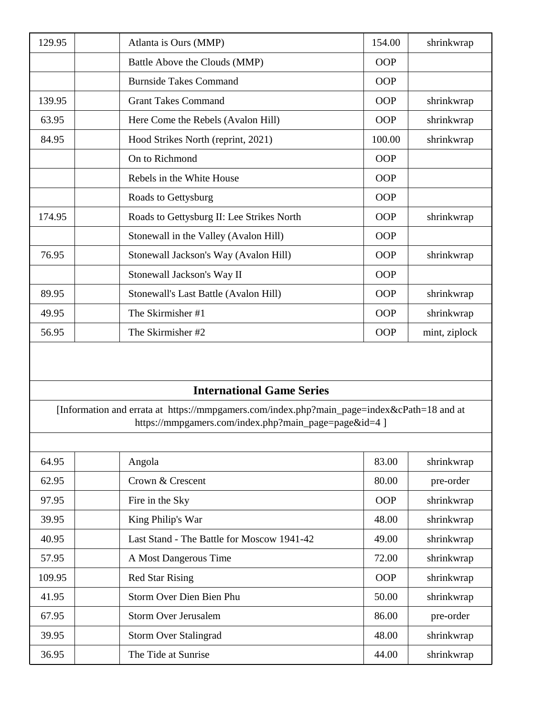| 129.95 | Atlanta is Ours (MMP)                     | 154.00     | shrinkwrap    |
|--------|-------------------------------------------|------------|---------------|
|        | Battle Above the Clouds (MMP)             | <b>OOP</b> |               |
|        | <b>Burnside Takes Command</b>             | OOP        |               |
| 139.95 | <b>Grant Takes Command</b>                | <b>OOP</b> | shrinkwrap    |
| 63.95  | Here Come the Rebels (Avalon Hill)        | <b>OOP</b> | shrinkwrap    |
| 84.95  | Hood Strikes North (reprint, 2021)        | 100.00     | shrinkwrap    |
|        | On to Richmond                            | <b>OOP</b> |               |
|        | Rebels in the White House                 | OOP        |               |
|        | Roads to Gettysburg                       | OOP        |               |
| 174.95 | Roads to Gettysburg II: Lee Strikes North | <b>OOP</b> | shrinkwrap    |
|        | Stonewall in the Valley (Avalon Hill)     | OOP        |               |
| 76.95  | Stonewall Jackson's Way (Avalon Hill)     | <b>OOP</b> | shrinkwrap    |
|        | Stonewall Jackson's Way II                | <b>OOP</b> |               |
| 89.95  | Stonewall's Last Battle (Avalon Hill)     | <b>OOP</b> | shrinkwrap    |
| 49.95  | The Skirmisher #1                         | OOP        | shrinkwrap    |
| 56.95  | The Skirmisher #2                         | <b>OOP</b> | mint, ziplock |

### **International Game Series**

[Information and errata at https://mmpgamers.com/index.php?main\_page=index&cPath=18 and at https://mmpgamers.com/index.php?main\_page=page&id=4 ]

| 64.95  | Angola                                     | 83.00      | shrinkwrap |
|--------|--------------------------------------------|------------|------------|
| 62.95  | Crown & Crescent                           | 80.00      | pre-order  |
| 97.95  | Fire in the Sky                            | <b>OOP</b> | shrinkwrap |
| 39.95  | King Philip's War                          | 48.00      | shrinkwrap |
| 40.95  | Last Stand - The Battle for Moscow 1941-42 | 49.00      | shrinkwrap |
| 57.95  | A Most Dangerous Time                      | 72.00      | shrinkwrap |
| 109.95 | <b>Red Star Rising</b>                     | OOP        | shrinkwrap |
| 41.95  | Storm Over Dien Bien Phu                   | 50.00      | shrinkwrap |
| 67.95  | Storm Over Jerusalem                       | 86.00      | pre-order  |
| 39.95  | <b>Storm Over Stalingrad</b>               | 48.00      | shrinkwrap |
| 36.95  | The Tide at Sunrise                        | 44.00      | shrinkwrap |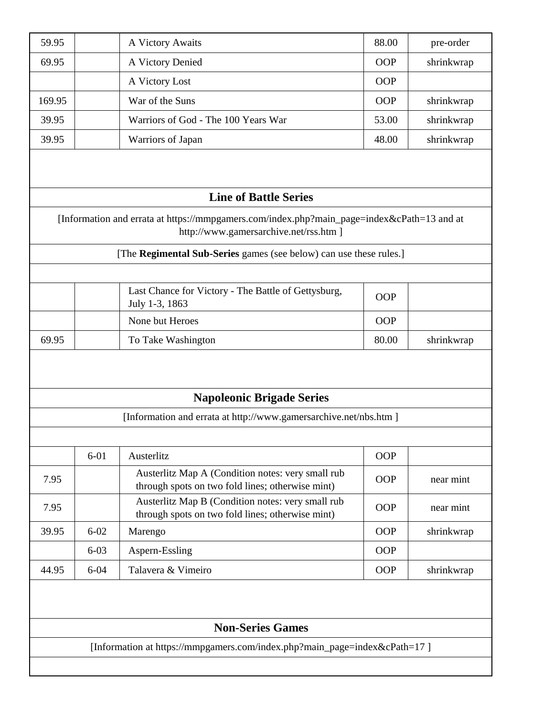| 59.95             | A Victory Awaits                                                                                                                     | 88.00      | pre-order  |
|-------------------|--------------------------------------------------------------------------------------------------------------------------------------|------------|------------|
| 69.95             | A Victory Denied                                                                                                                     | <b>OOP</b> | shrinkwrap |
|                   | A Victory Lost                                                                                                                       | OOP        |            |
| 169.95            | War of the Suns                                                                                                                      | OOP        | shrinkwrap |
| 39.95             | Warriors of God - The 100 Years War                                                                                                  | 53.00      | shrinkwrap |
| 39.95             | Warriors of Japan                                                                                                                    | 48.00      | shrinkwrap |
|                   | <b>Line of Battle Series</b>                                                                                                         |            |            |
|                   | [Information and errata at https://mmpgamers.com/index.php?main_page=index&cPath=13 and at<br>http://www.gamersarchive.net/rss.htm ] |            |            |
|                   | [The Regimental Sub-Series games (see below) can use these rules.]                                                                   |            |            |
|                   |                                                                                                                                      |            |            |
|                   | Last Chance for Victory - The Battle of Gettysburg,<br>July 1-3, 1863                                                                | <b>OOP</b> |            |
|                   | None but Heroes                                                                                                                      | <b>OOP</b> |            |
| 69.95             | To Take Washington                                                                                                                   | 80.00      | shrinkwrap |
|                   | <b>Napoleonic Brigade Series</b><br>[Information and errata at http://www.gamersarchive.net/nbs.htm ]                                |            |            |
|                   |                                                                                                                                      |            |            |
| $6 - 01$          | Austerlitz                                                                                                                           | <b>OOP</b> |            |
| 7.95              | Austerlitz Map A (Condition notes: very small rub<br>through spots on two fold lines; otherwise mint)                                | <b>OOP</b> | near mint  |
| 7.95              | Austerlitz Map B (Condition notes: very small rub<br>through spots on two fold lines; otherwise mint)                                | <b>OOP</b> | near mint  |
| $6 - 02$<br>39.95 | Marengo                                                                                                                              | <b>OOP</b> | shrinkwrap |
| $6 - 03$          | Aspern-Essling                                                                                                                       | <b>OOP</b> |            |
| 44.95<br>$6 - 04$ | Talavera & Vimeiro                                                                                                                   | <b>OOP</b> | shrinkwrap |
|                   |                                                                                                                                      |            |            |
|                   | <b>Non-Series Games</b>                                                                                                              |            |            |
|                   |                                                                                                                                      |            |            |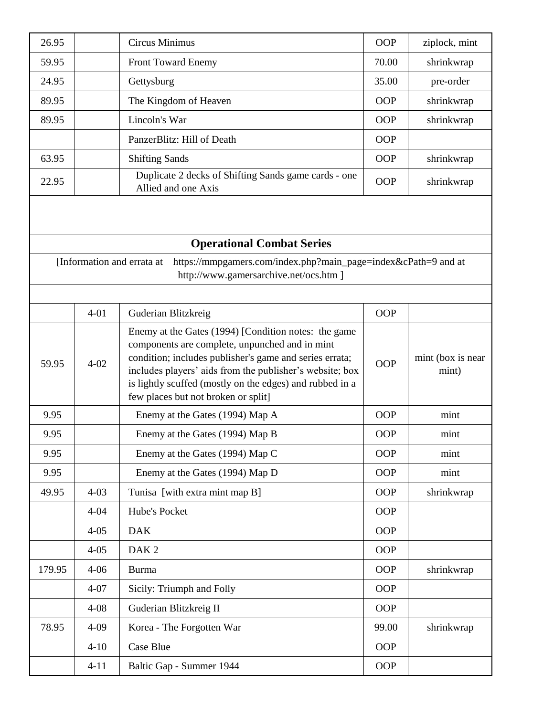| 26.95  |          | <b>Circus Minimus</b>                                                                                                                                                                                                                                                                                                            | <b>OOP</b> | ziplock, mint              |
|--------|----------|----------------------------------------------------------------------------------------------------------------------------------------------------------------------------------------------------------------------------------------------------------------------------------------------------------------------------------|------------|----------------------------|
| 59.95  |          | Front Toward Enemy                                                                                                                                                                                                                                                                                                               | 70.00      | shrinkwrap                 |
| 24.95  |          | Gettysburg                                                                                                                                                                                                                                                                                                                       | 35.00      | pre-order                  |
| 89.95  |          | The Kingdom of Heaven                                                                                                                                                                                                                                                                                                            | <b>OOP</b> | shrinkwrap                 |
| 89.95  |          | Lincoln's War                                                                                                                                                                                                                                                                                                                    | <b>OOP</b> | shrinkwrap                 |
|        |          | PanzerBlitz: Hill of Death                                                                                                                                                                                                                                                                                                       | <b>OOP</b> |                            |
| 63.95  |          | <b>Shifting Sands</b>                                                                                                                                                                                                                                                                                                            | <b>OOP</b> | shrinkwrap                 |
| 22.95  |          | Duplicate 2 decks of Shifting Sands game cards - one<br>Allied and one Axis                                                                                                                                                                                                                                                      | OOP        | shrinkwrap                 |
|        |          | <b>Operational Combat Series</b>                                                                                                                                                                                                                                                                                                 |            |                            |
|        |          | https://mmpgamers.com/index.php?main_page=index&cPath=9 and at<br>[Information and errata at<br>http://www.gamersarchive.net/ocs.htm ]                                                                                                                                                                                           |            |                            |
|        | $4 - 01$ | Guderian Blitzkreig                                                                                                                                                                                                                                                                                                              | <b>OOP</b> |                            |
| 59.95  | $4 - 02$ | Enemy at the Gates (1994) [Condition notes: the game<br>components are complete, unpunched and in mint<br>condition; includes publisher's game and series errata;<br>includes players' aids from the publisher's website; box<br>is lightly scuffed (mostly on the edges) and rubbed in a<br>few places but not broken or split] | <b>OOP</b> | mint (box is near<br>mint) |
| 9.95   |          | Enemy at the Gates (1994) Map A                                                                                                                                                                                                                                                                                                  | <b>OOP</b> | mint                       |
| 9.95   |          | Enemy at the Gates (1994) Map B                                                                                                                                                                                                                                                                                                  | OOP        | mint                       |
| 9.95   |          | Enemy at the Gates (1994) Map C                                                                                                                                                                                                                                                                                                  | OOP        | mint                       |
| 9.95   |          | Enemy at the Gates (1994) Map D                                                                                                                                                                                                                                                                                                  | <b>OOP</b> | mint                       |
| 49.95  | $4 - 03$ | Tunisa [with extra mint map B]                                                                                                                                                                                                                                                                                                   | OOP        | shrinkwrap                 |
|        | $4 - 04$ | Hube's Pocket                                                                                                                                                                                                                                                                                                                    | <b>OOP</b> |                            |
|        | $4 - 05$ | <b>DAK</b>                                                                                                                                                                                                                                                                                                                       | <b>OOP</b> |                            |
|        | $4 - 05$ | DAK <sub>2</sub>                                                                                                                                                                                                                                                                                                                 | <b>OOP</b> |                            |
| 179.95 | $4 - 06$ | <b>Burma</b>                                                                                                                                                                                                                                                                                                                     | OOP        | shrinkwrap                 |
|        | $4 - 07$ | Sicily: Triumph and Folly                                                                                                                                                                                                                                                                                                        | OOP        |                            |
|        | $4 - 08$ | Guderian Blitzkreig II                                                                                                                                                                                                                                                                                                           | OOP        |                            |
| 78.95  | $4 - 09$ | Korea - The Forgotten War                                                                                                                                                                                                                                                                                                        | 99.00      | shrinkwrap                 |
|        | $4 - 10$ | Case Blue                                                                                                                                                                                                                                                                                                                        | OOP        |                            |
|        | $4 - 11$ | Baltic Gap - Summer 1944                                                                                                                                                                                                                                                                                                         | OOP        |                            |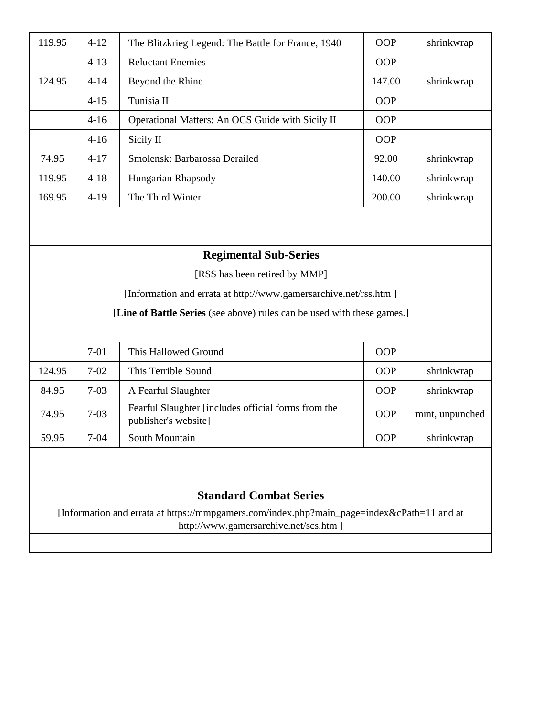| 119.95 |          |                                                                                            |            |                 |
|--------|----------|--------------------------------------------------------------------------------------------|------------|-----------------|
|        | $4 - 12$ | The Blitzkrieg Legend: The Battle for France, 1940                                         | <b>OOP</b> | shrinkwrap      |
|        | $4 - 13$ | <b>Reluctant Enemies</b>                                                                   | OOP        |                 |
| 124.95 | $4 - 14$ | Beyond the Rhine                                                                           | 147.00     | shrinkwrap      |
|        | $4 - 15$ | Tunisia II                                                                                 | OOP        |                 |
|        | $4-16$   | Operational Matters: An OCS Guide with Sicily II                                           | <b>OOP</b> |                 |
|        | $4 - 16$ | Sicily II                                                                                  | <b>OOP</b> |                 |
| 74.95  | $4 - 17$ | Smolensk: Barbarossa Derailed                                                              | 92.00      | shrinkwrap      |
| 119.95 | $4 - 18$ | Hungarian Rhapsody                                                                         | 140.00     | shrinkwrap      |
| 169.95 | $4-19$   | The Third Winter                                                                           | 200.00     | shrinkwrap      |
|        |          |                                                                                            |            |                 |
|        |          | <b>Regimental Sub-Series</b>                                                               |            |                 |
|        |          | [RSS has been retired by MMP]                                                              |            |                 |
|        |          | [Information and errata at http://www.gamersarchive.net/rss.htm ]                          |            |                 |
|        |          | [Line of Battle Series (see above) rules can be used with these games.]                    |            |                 |
|        |          |                                                                                            |            |                 |
|        |          |                                                                                            |            |                 |
|        | $7 - 01$ | This Hallowed Ground                                                                       | OOP        |                 |
| 124.95 | $7 - 02$ | This Terrible Sound                                                                        | <b>OOP</b> | shrinkwrap      |
| 84.95  | $7 - 03$ | A Fearful Slaughter                                                                        | <b>OOP</b> | shrinkwrap      |
| 74.95  | $7 - 03$ | Fearful Slaughter [includes official forms from the<br>publisher's website]                | OOP        | mint, unpunched |
| 59.95  | $7 - 04$ | South Mountain                                                                             | OOP        | shrinkwrap      |
|        |          | <b>Standard Combat Series</b>                                                              |            |                 |
|        |          | [Information and errata at https://mmpgamers.com/index.php?main_page=index&cPath=11 and at |            |                 |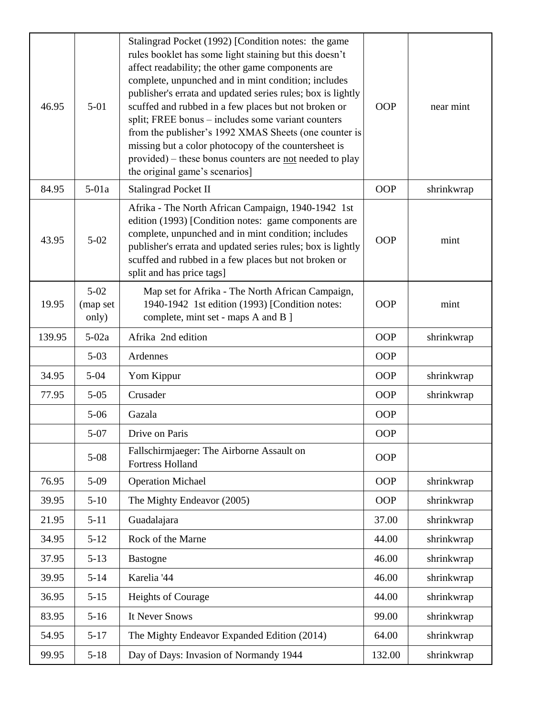| 46.95  | $5 - 01$                    | Stalingrad Pocket (1992) [Condition notes: the game<br>rules booklet has some light staining but this doesn't<br>affect readability; the other game components are<br>complete, unpunched and in mint condition; includes<br>publisher's errata and updated series rules; box is lightly<br>scuffed and rubbed in a few places but not broken or<br>split; FREE bonus - includes some variant counters<br>from the publisher's 1992 XMAS Sheets (one counter is<br>missing but a color photocopy of the countersheet is<br>provided) – these bonus counters are not needed to play<br>the original game's scenarios] | <b>OOP</b> | near mint  |
|--------|-----------------------------|----------------------------------------------------------------------------------------------------------------------------------------------------------------------------------------------------------------------------------------------------------------------------------------------------------------------------------------------------------------------------------------------------------------------------------------------------------------------------------------------------------------------------------------------------------------------------------------------------------------------|------------|------------|
| 84.95  | $5-01a$                     | <b>Stalingrad Pocket II</b>                                                                                                                                                                                                                                                                                                                                                                                                                                                                                                                                                                                          | <b>OOP</b> | shrinkwrap |
| 43.95  | $5 - 02$                    | Afrika - The North African Campaign, 1940-1942 1st<br>edition (1993) [Condition notes: game components are<br>complete, unpunched and in mint condition; includes<br>publisher's errata and updated series rules; box is lightly<br>scuffed and rubbed in a few places but not broken or<br>split and has price tags]                                                                                                                                                                                                                                                                                                | <b>OOP</b> | mint       |
| 19.95  | $5-02$<br>(map set<br>only) | Map set for Afrika - The North African Campaign,<br>1940-1942 1st edition (1993) [Condition notes:<br>complete, mint set - maps A and B ]                                                                                                                                                                                                                                                                                                                                                                                                                                                                            | <b>OOP</b> | mint       |
| 139.95 | $5-02a$                     | Afrika 2nd edition                                                                                                                                                                                                                                                                                                                                                                                                                                                                                                                                                                                                   | OOP        | shrinkwrap |
|        | $5 - 03$                    | Ardennes                                                                                                                                                                                                                                                                                                                                                                                                                                                                                                                                                                                                             | OOP        |            |
| 34.95  | $5 - 04$                    | Yom Kippur                                                                                                                                                                                                                                                                                                                                                                                                                                                                                                                                                                                                           | <b>OOP</b> | shrinkwrap |
| 77.95  | $5 - 05$                    | Crusader                                                                                                                                                                                                                                                                                                                                                                                                                                                                                                                                                                                                             | <b>OOP</b> | shrinkwrap |
|        | $5 - 06$                    | Gazala                                                                                                                                                                                                                                                                                                                                                                                                                                                                                                                                                                                                               | OOP        |            |
|        | $5 - 07$                    | Drive on Paris                                                                                                                                                                                                                                                                                                                                                                                                                                                                                                                                                                                                       | OOP        |            |
|        | $5 - 08$                    | Fallschirmjaeger: The Airborne Assault on<br><b>Fortress Holland</b>                                                                                                                                                                                                                                                                                                                                                                                                                                                                                                                                                 | <b>OOP</b> |            |
| 76.95  | $5-09$                      | <b>Operation Michael</b>                                                                                                                                                                                                                                                                                                                                                                                                                                                                                                                                                                                             | <b>OOP</b> | shrinkwrap |
| 39.95  | $5-10$                      | The Mighty Endeavor (2005)                                                                                                                                                                                                                                                                                                                                                                                                                                                                                                                                                                                           | OOP        | shrinkwrap |
| 21.95  | $5 - 11$                    | Guadalajara                                                                                                                                                                                                                                                                                                                                                                                                                                                                                                                                                                                                          | 37.00      | shrinkwrap |
| 34.95  | $5 - 12$                    | Rock of the Marne                                                                                                                                                                                                                                                                                                                                                                                                                                                                                                                                                                                                    | 44.00      | shrinkwrap |
| 37.95  | $5 - 13$                    | <b>Bastogne</b>                                                                                                                                                                                                                                                                                                                                                                                                                                                                                                                                                                                                      | 46.00      | shrinkwrap |
| 39.95  | $5 - 14$                    | Karelia '44                                                                                                                                                                                                                                                                                                                                                                                                                                                                                                                                                                                                          | 46.00      | shrinkwrap |
| 36.95  | $5 - 15$                    | Heights of Courage                                                                                                                                                                                                                                                                                                                                                                                                                                                                                                                                                                                                   | 44.00      | shrinkwrap |
| 83.95  | $5-16$                      | It Never Snows                                                                                                                                                                                                                                                                                                                                                                                                                                                                                                                                                                                                       | 99.00      | shrinkwrap |
| 54.95  | $5 - 17$                    | The Mighty Endeavor Expanded Edition (2014)                                                                                                                                                                                                                                                                                                                                                                                                                                                                                                                                                                          | 64.00      | shrinkwrap |
| 99.95  | $5 - 18$                    | Day of Days: Invasion of Normandy 1944                                                                                                                                                                                                                                                                                                                                                                                                                                                                                                                                                                               | 132.00     | shrinkwrap |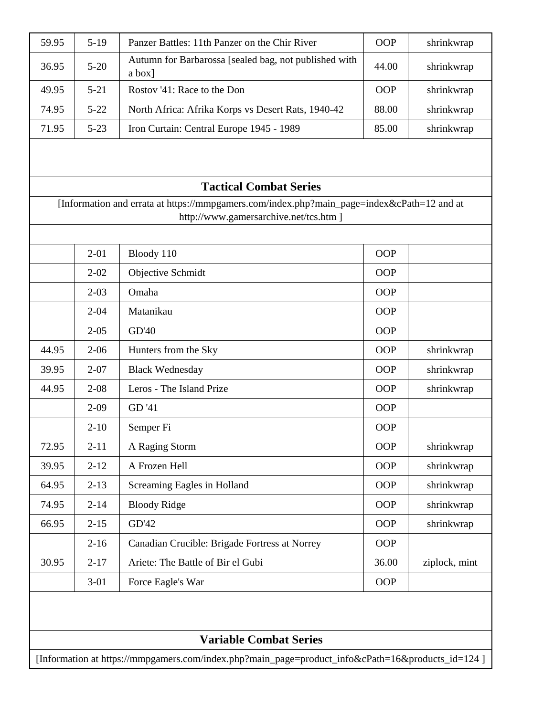| 59.95 | $5-19$   | Panzer Battles: 11th Panzer on the Chir River                                              | <b>OOP</b> | shrinkwrap    |
|-------|----------|--------------------------------------------------------------------------------------------|------------|---------------|
| 36.95 | $5 - 20$ | Autumn for Barbarossa [sealed bag, not published with<br>a box]                            | 44.00      | shrinkwrap    |
| 49.95 | $5 - 21$ | Rostov '41: Race to the Don                                                                | <b>OOP</b> | shrinkwrap    |
| 74.95 | $5 - 22$ | North Africa: Afrika Korps vs Desert Rats, 1940-42                                         | 88.00      | shrinkwrap    |
| 71.95 | $5 - 23$ | Iron Curtain: Central Europe 1945 - 1989                                                   | 85.00      | shrinkwrap    |
|       |          |                                                                                            |            |               |
|       |          | <b>Tactical Combat Series</b>                                                              |            |               |
|       |          | [Information and errata at https://mmpgamers.com/index.php?main_page=index&cPath=12 and at |            |               |
|       |          | http://www.gamersarchive.net/tcs.htm ]                                                     |            |               |
|       | $2 - 01$ | Bloody 110                                                                                 | <b>OOP</b> |               |
|       | $2 - 02$ | Objective Schmidt                                                                          | <b>OOP</b> |               |
|       | $2 - 03$ | Omaha                                                                                      | OOP        |               |
|       | $2 - 04$ | Matanikau                                                                                  | OOP        |               |
|       | $2 - 05$ | GD'40                                                                                      | OOP        |               |
| 44.95 | $2 - 06$ | Hunters from the Sky                                                                       | <b>OOP</b> | shrinkwrap    |
| 39.95 | $2 - 07$ | <b>Black Wednesday</b>                                                                     | <b>OOP</b> | shrinkwrap    |
| 44.95 | $2 - 08$ | Leros - The Island Prize                                                                   | <b>OOP</b> | shrinkwrap    |
|       | $2 - 09$ | GD '41                                                                                     | OOP        |               |
|       | $2 - 10$ | Semper Fi                                                                                  | <b>OOP</b> |               |
| 72.95 | $2 - 11$ | A Raging Storm                                                                             | OOP        | shrinkwrap    |
| 39.95 | $2 - 12$ | A Frozen Hell                                                                              | OOP        | shrinkwrap    |
| 64.95 | $2 - 13$ | Screaming Eagles in Holland                                                                | OOP        | shrinkwrap    |
| 74.95 | $2 - 14$ | <b>Bloody Ridge</b>                                                                        | OOP        | shrinkwrap    |
| 66.95 | $2 - 15$ | GD'42                                                                                      | OOP        | shrinkwrap    |
|       | $2 - 16$ | Canadian Crucible: Brigade Fortress at Norrey                                              | OOP        |               |
| 30.95 | $2 - 17$ | Ariete: The Battle of Bir el Gubi                                                          | 36.00      | ziplock, mint |
|       |          |                                                                                            |            |               |

**Variable Combat Series**

[Information at https://mmpgamers.com/index.php?main\_page=product\_info&cPath=16&products\_id=124 ]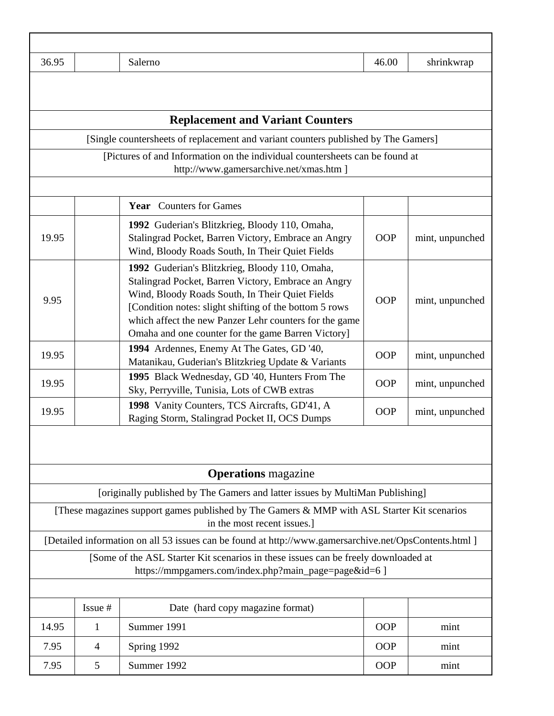| 36.95 |                | Salerno                                                                                                                                                                                                                                                                                                                             | 46.00      | shrinkwrap      |
|-------|----------------|-------------------------------------------------------------------------------------------------------------------------------------------------------------------------------------------------------------------------------------------------------------------------------------------------------------------------------------|------------|-----------------|
|       |                |                                                                                                                                                                                                                                                                                                                                     |            |                 |
|       |                | <b>Replacement and Variant Counters</b>                                                                                                                                                                                                                                                                                             |            |                 |
|       |                | [Single countersheets of replacement and variant counters published by The Gamers]                                                                                                                                                                                                                                                  |            |                 |
|       |                | [Pictures of and Information on the individual countersheets can be found at<br>http://www.gamersarchive.net/xmas.htm ]                                                                                                                                                                                                             |            |                 |
|       |                | <b>Year</b> Counters for Games                                                                                                                                                                                                                                                                                                      |            |                 |
| 19.95 |                | 1992 Guderian's Blitzkrieg, Bloody 110, Omaha,<br>Stalingrad Pocket, Barren Victory, Embrace an Angry<br>Wind, Bloody Roads South, In Their Quiet Fields                                                                                                                                                                            | <b>OOP</b> | mint, unpunched |
| 9.95  |                | 1992 Guderian's Blitzkrieg, Bloody 110, Omaha,<br>Stalingrad Pocket, Barren Victory, Embrace an Angry<br>Wind, Bloody Roads South, In Their Quiet Fields<br>[Condition notes: slight shifting of the bottom 5 rows]<br>which affect the new Panzer Lehr counters for the game<br>Omaha and one counter for the game Barren Victory] | <b>OOP</b> | mint, unpunched |
| 19.95 |                | 1994 Ardennes, Enemy At The Gates, GD '40,<br>Matanikau, Guderian's Blitzkrieg Update & Variants                                                                                                                                                                                                                                    | <b>OOP</b> | mint, unpunched |
| 19.95 |                | 1995 Black Wednesday, GD '40, Hunters From The<br>Sky, Perryville, Tunisia, Lots of CWB extras                                                                                                                                                                                                                                      | <b>OOP</b> | mint, unpunched |
| 19.95 |                | 1998 Vanity Counters, TCS Aircrafts, GD'41, A<br>Raging Storm, Stalingrad Pocket II, OCS Dumps                                                                                                                                                                                                                                      | <b>OOP</b> | mint, unpunched |
|       |                | <b>Operations</b> magazine                                                                                                                                                                                                                                                                                                          |            |                 |
|       |                | [originally published by The Gamers and latter issues by MultiMan Publishing]                                                                                                                                                                                                                                                       |            |                 |
|       |                | [These magazines support games published by The Gamers & MMP with ASL Starter Kit scenarios<br>in the most recent issues.]                                                                                                                                                                                                          |            |                 |
|       |                | [Detailed information on all 53 issues can be found at http://www.gamersarchive.net/OpsContents.html ]                                                                                                                                                                                                                              |            |                 |
|       |                | [Some of the ASL Starter Kit scenarios in these issues can be freely downloaded at<br>https://mmpgamers.com/index.php?main_page=page&id=6 ]                                                                                                                                                                                         |            |                 |
|       |                |                                                                                                                                                                                                                                                                                                                                     |            |                 |
|       | Issue #        | Date (hard copy magazine format)                                                                                                                                                                                                                                                                                                    |            |                 |
| 14.95 | 1              | Summer 1991                                                                                                                                                                                                                                                                                                                         | <b>OOP</b> | mint            |
| 7.95  | $\overline{4}$ | Spring 1992                                                                                                                                                                                                                                                                                                                         | <b>OOP</b> | mint            |
| 7.95  | 5              | Summer 1992                                                                                                                                                                                                                                                                                                                         | <b>OOP</b> | mint            |

Г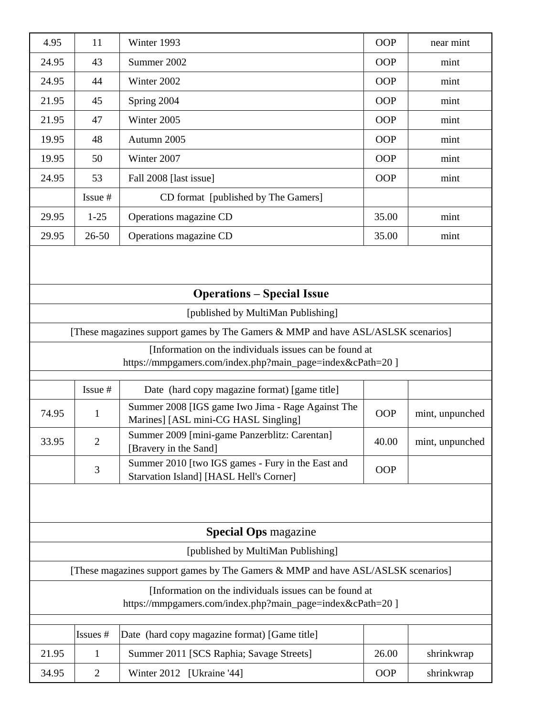| 4.95                                                                                                                 | 11                                | Winter 1993                                                                                  | OOP        | near mint       |  |  |  |  |
|----------------------------------------------------------------------------------------------------------------------|-----------------------------------|----------------------------------------------------------------------------------------------|------------|-----------------|--|--|--|--|
| 24.95                                                                                                                | 43                                | Summer 2002                                                                                  | <b>OOP</b> | mint            |  |  |  |  |
| 24.95                                                                                                                | 44                                | Winter 2002                                                                                  | <b>OOP</b> | mint            |  |  |  |  |
| 21.95                                                                                                                | 45                                | Spring 2004                                                                                  | <b>OOP</b> | mint            |  |  |  |  |
| 21.95                                                                                                                | 47                                | Winter 2005                                                                                  | OOP        | mint            |  |  |  |  |
| 19.95                                                                                                                | 48                                | Autumn 2005                                                                                  | <b>OOP</b> | mint            |  |  |  |  |
| 19.95                                                                                                                | 50                                | Winter 2007                                                                                  | <b>OOP</b> | mint            |  |  |  |  |
| 24.95                                                                                                                | 53                                | Fall 2008 [last issue]                                                                       | <b>OOP</b> | mint            |  |  |  |  |
|                                                                                                                      | Issue #                           | CD format [published by The Gamers]                                                          |            |                 |  |  |  |  |
| 29.95                                                                                                                | $1 - 25$                          | Operations magazine CD                                                                       | 35.00      | mint            |  |  |  |  |
| 29.95                                                                                                                | $26 - 50$                         | Operations magazine CD                                                                       | 35.00      | mint            |  |  |  |  |
|                                                                                                                      | <b>Operations – Special Issue</b> |                                                                                              |            |                 |  |  |  |  |
| [published by MultiMan Publishing]                                                                                   |                                   |                                                                                              |            |                 |  |  |  |  |
| [These magazines support games by The Gamers & MMP and have ASL/ASLSK scenarios]                                     |                                   |                                                                                              |            |                 |  |  |  |  |
| [Information on the individuals issues can be found at                                                               |                                   |                                                                                              |            |                 |  |  |  |  |
| https://mmpgamers.com/index.php?main_page=index&cPath=20 ]                                                           |                                   |                                                                                              |            |                 |  |  |  |  |
|                                                                                                                      | Issue #                           | Date (hard copy magazine format) [game title]                                                |            |                 |  |  |  |  |
| 74.95                                                                                                                | $\mathbf{1}$                      | Summer 2008 [IGS game Iwo Jima - Rage Against The<br>Marines] [ASL mini-CG HASL Singling]    | <b>OOP</b> | mint, unpunched |  |  |  |  |
| 33.95                                                                                                                | 2                                 | Summer 2009 [mini-game Panzerblitz: Carentan]<br>[Bravery in the Sand]                       | 40.00      | mint, unpunched |  |  |  |  |
|                                                                                                                      | 3                                 | Summer 2010 [two IGS games - Fury in the East and<br>Starvation Island] [HASL Hell's Corner] | <b>OOP</b> |                 |  |  |  |  |
|                                                                                                                      |                                   |                                                                                              |            |                 |  |  |  |  |
| <b>Special Ops</b> magazine                                                                                          |                                   |                                                                                              |            |                 |  |  |  |  |
| [published by MultiMan Publishing]                                                                                   |                                   |                                                                                              |            |                 |  |  |  |  |
| [These magazines support games by The Gamers & MMP and have ASL/ASLSK scenarios]                                     |                                   |                                                                                              |            |                 |  |  |  |  |
| [Information on the individuals issues can be found at<br>https://mmpgamers.com/index.php?main_page=index&cPath=20 ] |                                   |                                                                                              |            |                 |  |  |  |  |
|                                                                                                                      | Issues #                          | Date (hard copy magazine format) [Game title]                                                |            |                 |  |  |  |  |
| 21.95                                                                                                                | 1                                 | Summer 2011 [SCS Raphia; Savage Streets]                                                     | 26.00      | shrinkwrap      |  |  |  |  |
| 34.95                                                                                                                | $\mathbf{2}$                      | Winter 2012 [Ukraine '44]                                                                    | <b>OOP</b> | shrinkwrap      |  |  |  |  |